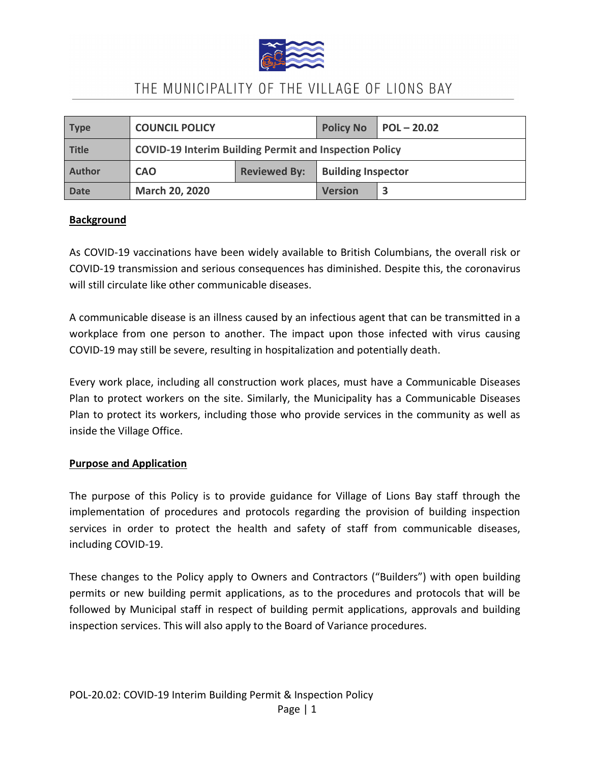

| Type          | <b>COUNCIL POLICY</b>                                         |                     | <b>Policy No</b>          | $\vert$ POL - 20.02 |
|---------------|---------------------------------------------------------------|---------------------|---------------------------|---------------------|
| <b>Title</b>  | <b>COVID-19 Interim Building Permit and Inspection Policy</b> |                     |                           |                     |
| <b>Author</b> | <b>CAO</b>                                                    | <b>Reviewed By:</b> | <b>Building Inspector</b> |                     |
| <b>Date</b>   | <b>March 20, 2020</b>                                         |                     | <b>Version</b>            |                     |

### **Background**

As COVID-19 vaccinations have been widely available to British Columbians, the overall risk or COVID-19 transmission and serious consequences has diminished. Despite this, the coronavirus will still circulate like other communicable diseases.

A communicable disease is an illness caused by an infectious agent that can be transmitted in a workplace from one person to another. The impact upon those infected with virus causing COVID-19 may still be severe, resulting in hospitalization and potentially death.

Every work place, including all construction work places, must have a Communicable Diseases Plan to protect workers on the site. Similarly, the Municipality has a Communicable Diseases Plan to protect its workers, including those who provide services in the community as well as inside the Village Office.

#### **Purpose and Application**

The purpose of this Policy is to provide guidance for Village of Lions Bay staff through the implementation of procedures and protocols regarding the provision of building inspection services in order to protect the health and safety of staff from communicable diseases, including COVID-19.

These changes to the Policy apply to Owners and Contractors ("Builders") with open building permits or new building permit applications, as to the procedures and protocols that will be followed by Municipal staff in respect of building permit applications, approvals and building inspection services. This will also apply to the Board of Variance procedures.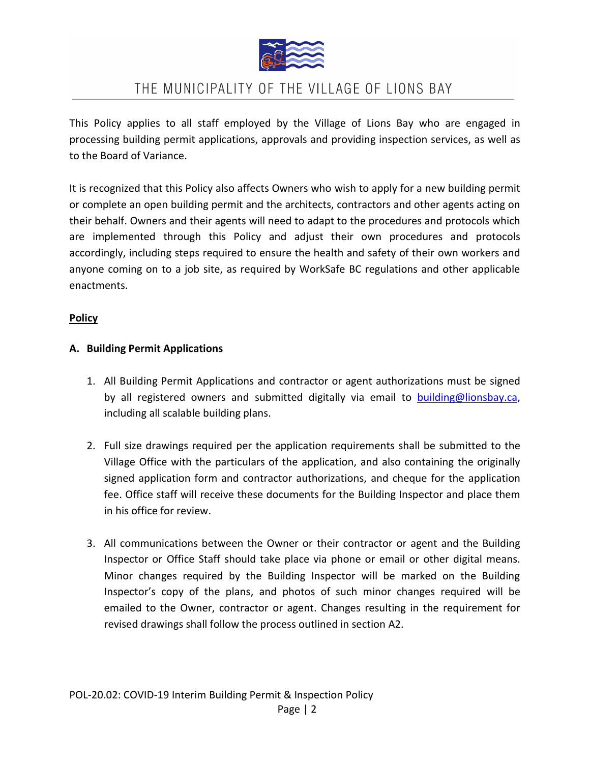

This Policy applies to all staff employed by the Village of Lions Bay who are engaged in processing building permit applications, approvals and providing inspection services, as well as to the Board of Variance.

It is recognized that this Policy also affects Owners who wish to apply for a new building permit or complete an open building permit and the architects, contractors and other agents acting on their behalf. Owners and their agents will need to adapt to the procedures and protocols which are implemented through this Policy and adjust their own procedures and protocols accordingly, including steps required to ensure the health and safety of their own workers and anyone coming on to a job site, as required by WorkSafe BC regulations and other applicable enactments.

#### **Policy**

#### **A. Building Permit Applications**

- 1. All Building Permit Applications and contractor or agent authorizations must be signed by all registered owners and submitted digitally via email to [building@lionsbay.ca,](mailto:building@lionsbay.ca) including all scalable building plans.
- 2. Full size drawings required per the application requirements shall be submitted to the Village Office with the particulars of the application, and also containing the originally signed application form and contractor authorizations, and cheque for the application fee. Office staff will receive these documents for the Building Inspector and place them in his office for review.
- 3. All communications between the Owner or their contractor or agent and the Building Inspector or Office Staff should take place via phone or email or other digital means. Minor changes required by the Building Inspector will be marked on the Building Inspector's copy of the plans, and photos of such minor changes required will be emailed to the Owner, contractor or agent. Changes resulting in the requirement for revised drawings shall follow the process outlined in section A2.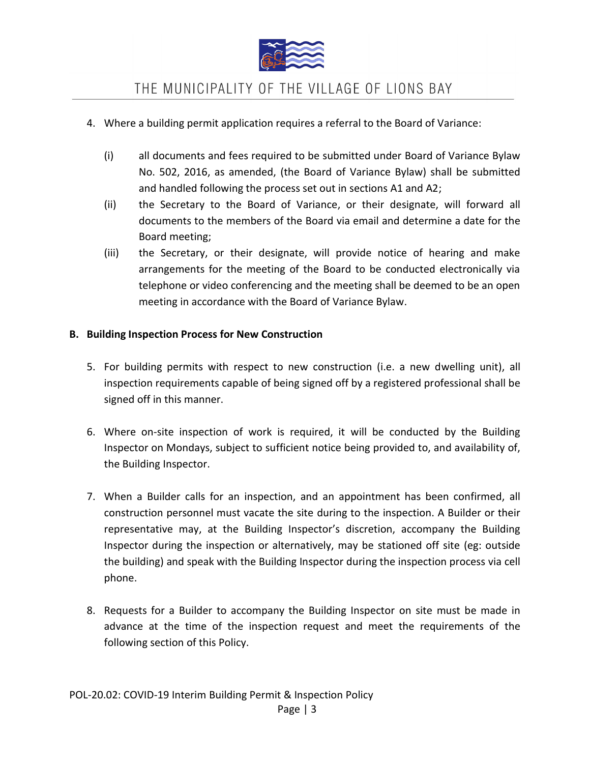

- 4. Where a building permit application requires a referral to the Board of Variance:
	- (i) all documents and fees required to be submitted under Board of Variance Bylaw No. 502, 2016, as amended, (the Board of Variance Bylaw) shall be submitted and handled following the process set out in sections A1 and A2;
	- (ii) the Secretary to the Board of Variance, or their designate, will forward all documents to the members of the Board via email and determine a date for the Board meeting;
	- (iii) the Secretary, or their designate, will provide notice of hearing and make arrangements for the meeting of the Board to be conducted electronically via telephone or video conferencing and the meeting shall be deemed to be an open meeting in accordance with the Board of Variance Bylaw.

### **B. Building Inspection Process for New Construction**

- 5. For building permits with respect to new construction (i.e. a new dwelling unit), all inspection requirements capable of being signed off by a registered professional shall be signed off in this manner.
- 6. Where on-site inspection of work is required, it will be conducted by the Building Inspector on Mondays, subject to sufficient notice being provided to, and availability of, the Building Inspector.
- 7. When a Builder calls for an inspection, and an appointment has been confirmed, all construction personnel must vacate the site during to the inspection. A Builder or their representative may, at the Building Inspector's discretion, accompany the Building Inspector during the inspection or alternatively, may be stationed off site (eg: outside the building) and speak with the Building Inspector during the inspection process via cell phone.
- 8. Requests for a Builder to accompany the Building Inspector on site must be made in advance at the time of the inspection request and meet the requirements of the following section of this Policy.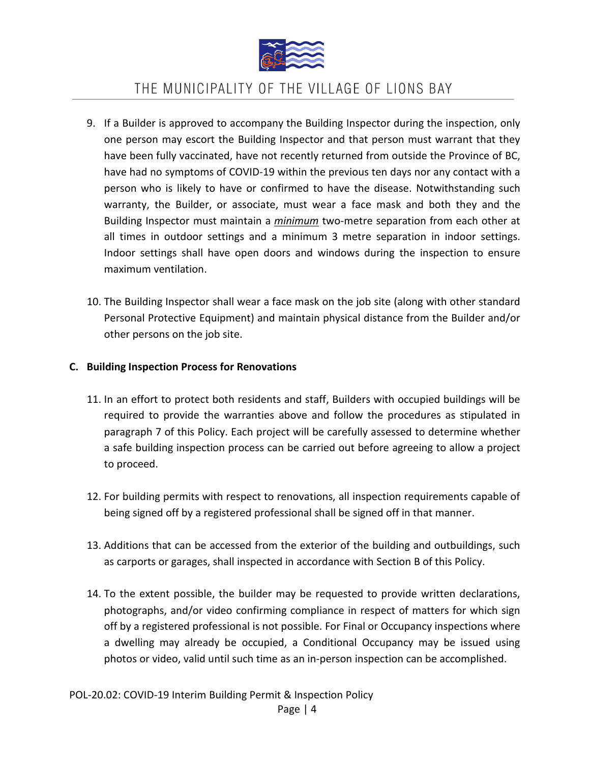

- 9. If a Builder is approved to accompany the Building Inspector during the inspection, only one person may escort the Building Inspector and that person must warrant that they have been fully vaccinated, have not recently returned from outside the Province of BC, have had no symptoms of COVID-19 within the previous ten days nor any contact with a person who is likely to have or confirmed to have the disease. Notwithstanding such warranty, the Builder, or associate, must wear a face mask and both they and the Building Inspector must maintain a *minimum* two-metre separation from each other at all times in outdoor settings and a minimum 3 metre separation in indoor settings. Indoor settings shall have open doors and windows during the inspection to ensure maximum ventilation.
- 10. The Building Inspector shall wear a face mask on the job site (along with other standard Personal Protective Equipment) and maintain physical distance from the Builder and/or other persons on the job site.

#### **C. Building Inspection Process for Renovations**

- 11. In an effort to protect both residents and staff, Builders with occupied buildings will be required to provide the warranties above and follow the procedures as stipulated in paragraph 7 of this Policy. Each project will be carefully assessed to determine whether a safe building inspection process can be carried out before agreeing to allow a project to proceed.
- 12. For building permits with respect to renovations, all inspection requirements capable of being signed off by a registered professional shall be signed off in that manner.
- 13. Additions that can be accessed from the exterior of the building and outbuildings, such as carports or garages, shall inspected in accordance with Section B of this Policy.
- 14. To the extent possible, the builder may be requested to provide written declarations, photographs, and/or video confirming compliance in respect of matters for which sign off by a registered professional is not possible. For Final or Occupancy inspections where a dwelling may already be occupied, a Conditional Occupancy may be issued using photos or video, valid until such time as an in-person inspection can be accomplished.

Page | 4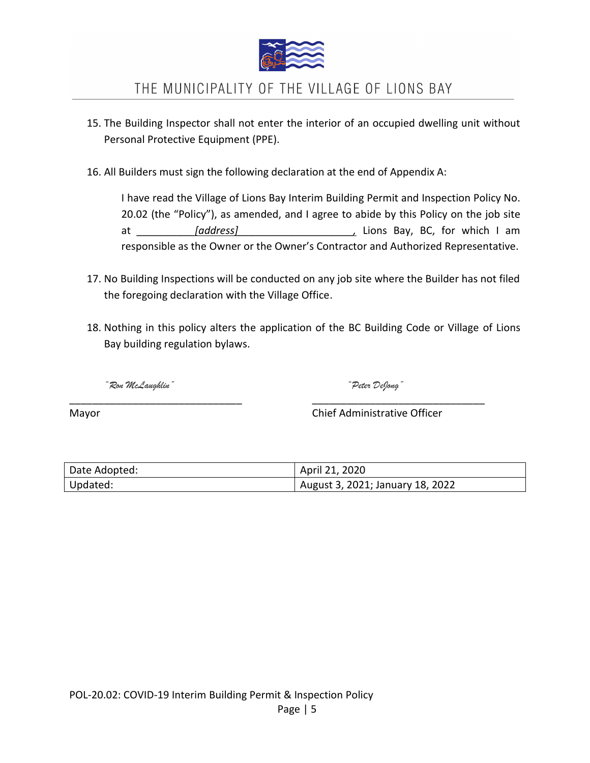

- 15. The Building Inspector shall not enter the interior of an occupied dwelling unit without Personal Protective Equipment (PPE).
- 16. All Builders must sign the following declaration at the end of Appendix A:

I have read the Village of Lions Bay Interim Building Permit and Inspection Policy No. 20.02 (the "Policy"), as amended, and I agree to abide by this Policy on the job site at *\_\_\_\_\_\_\_\_\_\_[address]\_\_\_\_\_\_\_\_\_\_\_\_\_\_\_\_\_\_\_\_,* Lions Bay, BC, for which I am responsible as the Owner or the Owner's Contractor and Authorized Representative.

- 17. No Building Inspections will be conducted on any job site where the Builder has not filed the foregoing declaration with the Village Office.
- 18. Nothing in this policy alters the application of the BC Building Code or Village of Lions Bay building regulation bylaws.

*"Ron McLaughlin" "Peter DeJong"*

Mayor Chief Administrative Officer

| Date Adopted: | April 21, 2020                   |
|---------------|----------------------------------|
| Updated:      | August 3, 2021; January 18, 2022 |

\_\_\_\_\_\_\_\_\_\_\_\_\_\_\_\_\_\_\_\_\_\_\_\_\_\_\_\_\_\_ \_\_\_\_\_\_\_\_\_\_\_\_\_\_\_\_\_\_\_\_\_\_\_\_\_\_\_\_\_\_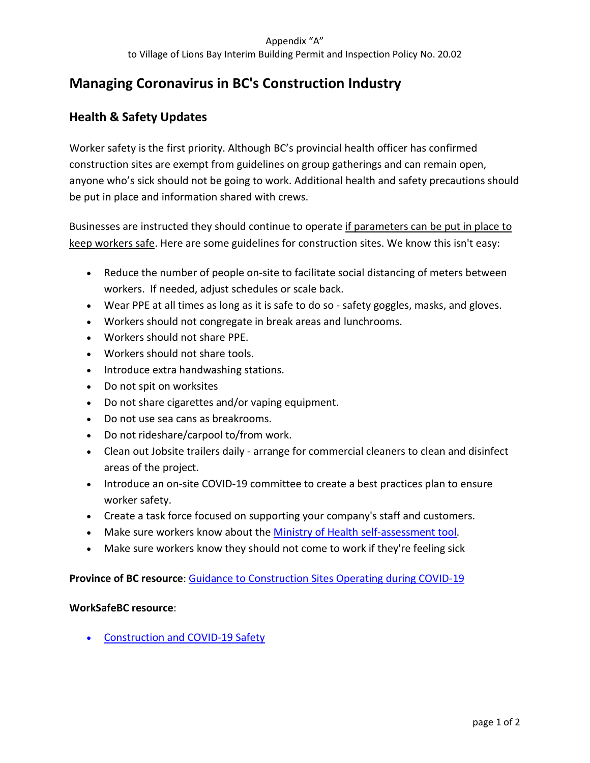# **Managing Coronavirus in BC's Construction Industry**

### **Health & Safety Updates**

Worker safety is the first priority. Although BC's provincial health officer has confirmed construction sites are exempt from guidelines on group gatherings and can remain open, anyone who's sick should not be going to work. Additional health and safety precautions should be put in place and information shared with crews.

Businesses are instructed they should continue to operate if parameters can be put in place to keep workers safe. Here are some guidelines for construction sites. We know this isn't easy:

- Reduce the number of people on-site to facilitate social distancing of meters between workers. If needed, adjust schedules or scale back.
- Wear PPE at all times as long as it is safe to do so safety goggles, masks, and gloves.
- Workers should not congregate in break areas and lunchrooms.
- Workers should not share PPE.
- Workers should not share tools.
- Introduce extra handwashing stations.
- Do not spit on worksites
- Do not share cigarettes and/or vaping equipment.
- Do not use sea cans as breakrooms.
- Do not rideshare/carpool to/from work.
- Clean out Jobsite trailers daily arrange for commercial cleaners to clean and disinfect areas of the project.
- Introduce an on-site COVID-19 committee to create a best practices plan to ensure worker safety.
- Create a task force focused on supporting your company's staff and customers.
- Make sure workers know about the [Ministry of Health self-assessment tool.](http://covid19.thrive.health/)
- Make sure workers know they should not come to work if they're feeling sick

**Province of BC resource**: [Guidance to Construction Sites](http://www.bccassn.com/media/Guidance%20to%20Construction%20Sites%20Operating%20During%20COVID19.pdf) Operating during COVID-19

#### **WorkSafeBC resource**:

• [Construction and COVID-19 Safety](https://www.worksafebc.com/en/covid-19/industry-specific-information/construction)